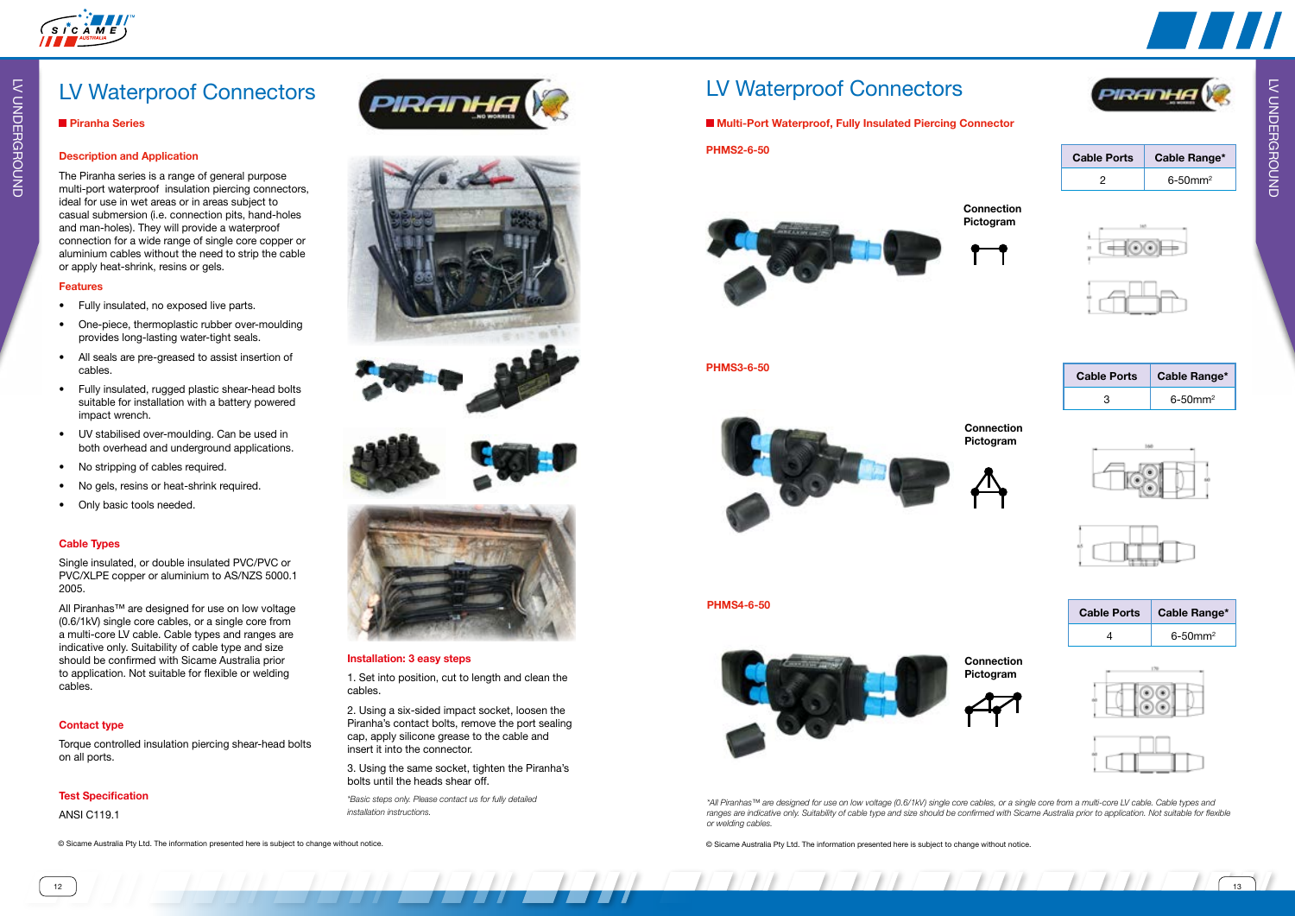LV UNDERGROUND LV UNDERGROUND



**PHMS2-6-50**

**Multi-Port Waterproof, Fully Insulated Piercing Connector**

# LV Waterproof Connectors

### © Sicame Australia Pty Ltd. The information presented here is subject to change without notice.

**PHMS4-6-50**





# LV Waterproof Connectors

## **Piranha Series**

# **Description and Application**

The Piranha series is a range of general purpose multi-port waterproof insulation piercing connectors, ideal for use in wet areas or in areas subject to casual submersion (i.e. connection pits, hand-holes and man-holes). They will provide a waterproof connection for a wide range of single core copper or aluminium cables without the need to strip the cable or apply heat-shrink, resins or gels.

### **Features**

All Piranhas™ are designed for use on low voltage (0.6/1kV) single core cables, or a single core from a multi-core LV cable. Cable types and ranges are indicative only. Suitability of cable type and size should be confirmed with Sicame Australia prior to application. Not suitable for flexible or welding cables.

- Fully insulated, no exposed live parts.
- One-piece, thermoplastic rubber over-moulding provides long-lasting water-tight seals.
- All seals are pre-greased to assist insertion of cables.
- Fully insulated, rugged plastic shear-head bolts suitable for installation with a battery powered impact wrench.
- UV stabilised over-moulding. Can be used in both overhead and underground applications.
- No stripping of cables required.
- No gels, resins or heat-shrink required.
- Only basic tools needed.

## **Cable Types**





Single insulated, or double insulated PVC/PVC or PVC/XLPE copper or aluminium to AS/NZS 5000.1 2005.

## **Contact type**

Torque controlled insulation piercing shear-head bolts on all ports.

## **Test Specification**

ANSI C119.1











### **Installation: 3 easy steps**

1. Set into position, cut to length and clean the cables.

2. Using a six-sided impact socket, loosen the Piranha's contact bolts, remove the port sealing cap, apply silicone grease to the cable and insert it into the connector.

3. Using the same socket, tighten the Piranha's bolts until the heads shear off.

*\*Basic steps only. Please contact us for fully detailed installation instructions.*

© Sicame Australia Pty Ltd. The information presented here is subject to change without notice.

# **Connection Pictogram**





| <b>Cable Ports</b> | Cable Range*             |
|--------------------|--------------------------|
|                    | $6 - 50$ mm <sup>2</sup> |



| <b>Cable Ports</b> | Cable Range*             |
|--------------------|--------------------------|
|                    | $6 - 50$ mm <sup>2</sup> |







*\*All Piranhas™ are designed for use on low voltage (0.6/1kV) single core cables, or a single core from a multi-core LV cable. Cable types and*  ranges are indicative only. Suitability of cable type and size should be confirmed with Sicame Australia prior to application. Not suitable for flexible *or welding cables.*

| <b>Cable Ports</b> | Cable Range*             |
|--------------------|--------------------------|
|                    | $6 - 50$ mm <sup>2</sup> |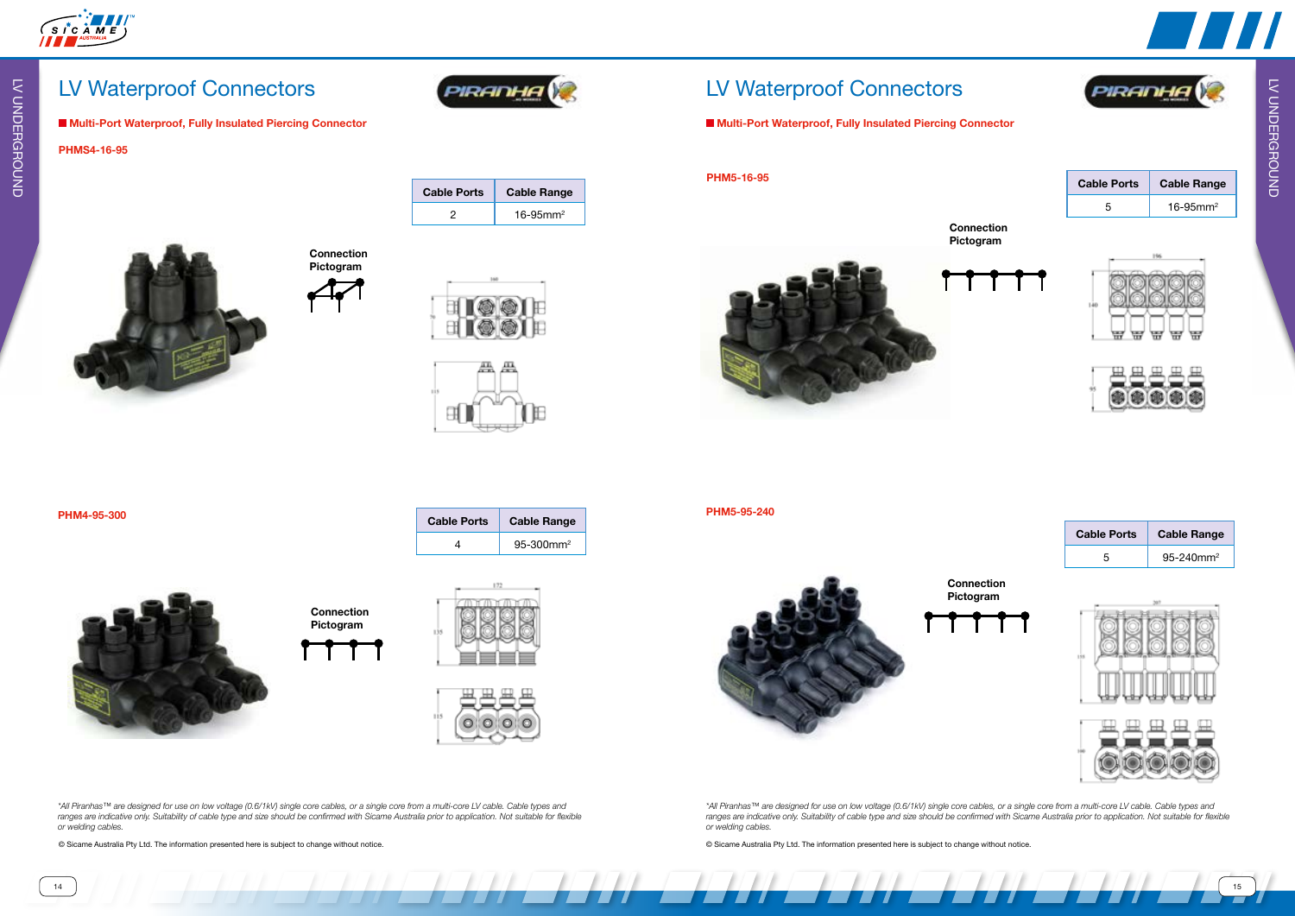14 15

LV UNDERGROUND

**LV UNDERGROUND** 



LV UNDERGROUND

**LV UNDERGROUND** 

 $\overline{\phantom{a}}$ 

## **PHMS4-16-95**

## **Multi-Port Waterproof, Fully Insulated Piercing Connector**



# LV Waterproof Connectors

© Sicame Australia Pty Ltd. The information presented here is subject to change without notice.

**PHM4-95-300**



**PHM5-16-95**

**PHM5-95-240**

# **Multi-Port Waterproof, Fully Insulated Piercing Connector**

LV Waterproof Connectors

© Sicame Australia Pty Ltd. The information presented here is subject to change without notice.



**Connection Pictogram**



Cable Ports **Cable Range** 

PIRADI

2  $16-95$ mm<sup>2</sup>



**Connection Pictogram**

> *\*All Piranhas™ are designed for use on low voltage (0.6/1kV) single core cables, or a single core from a multi-core LV cable. Cable types and*  ranges are indicative only. Suitability of cable type and size should be confirmed with Sicame Australia prior to application. Not suitable for flexible

**Connection Pictogram**



|    | <b>Cable Ports</b> | <b>Cable Range</b>    |
|----|--------------------|-----------------------|
|    | 5                  | 95-240mm <sup>2</sup> |
| 'n |                    |                       |









| <b>Cable Ports</b> | <b>Cable Range</b>        |
|--------------------|---------------------------|
|                    | $16 - 95$ mm <sup>2</sup> |









*\*All Piranhas™ are designed for use on low voltage (0.6/1kV) single core cables, or a single core from a multi-core LV cable. Cable types and*  ranges are indicative only. Suitability of cable type and size should be confirmed with Sicame Australia prior to application. Not suitable for flexible *or welding cables.*

*or welding cables.*